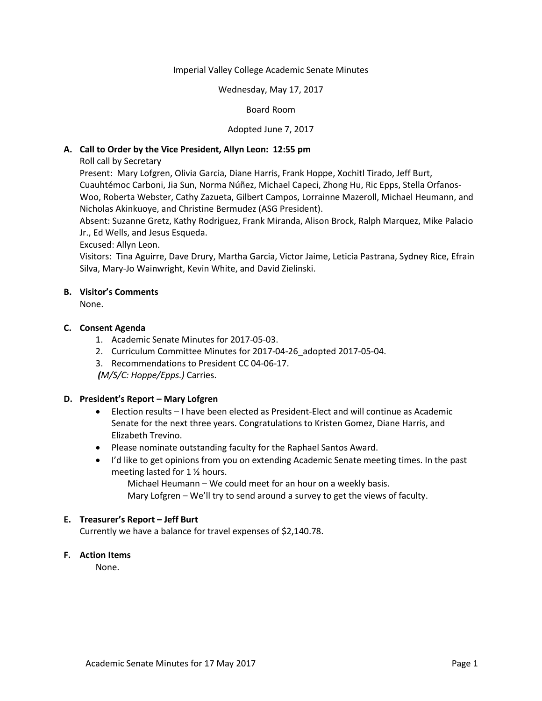#### Imperial Valley College Academic Senate Minutes

#### Wednesday, May 17, 2017

#### Board Room

#### Adopted June 7, 2017

## **A. Call to Order by the Vice President, Allyn Leon: 12:55 pm**

Roll call by Secretary

Present: Mary Lofgren, Olivia Garcia, Diane Harris, Frank Hoppe, Xochitl Tirado, Jeff Burt, Cuauhtémoc Carboni, Jia Sun, Norma Núñez, Michael Capeci, Zhong Hu, Ric Epps, Stella Orfanos-Woo, Roberta Webster, Cathy Zazueta, Gilbert Campos, Lorrainne Mazeroll, Michael Heumann, and Nicholas Akinkuoye, and Christine Bermudez (ASG President).

Absent: Suzanne Gretz, Kathy Rodriguez, Frank Miranda, Alison Brock, Ralph Marquez, Mike Palacio Jr., Ed Wells, and Jesus Esqueda.

Excused: Allyn Leon.

Visitors: Tina Aguirre, Dave Drury, Martha Garcia, Victor Jaime, Leticia Pastrana, Sydney Rice, Efrain Silva, Mary-Jo Wainwright, Kevin White, and David Zielinski.

#### **B. Visitor's Comments**

None.

#### **C. Consent Agenda**

- 1. Academic Senate Minutes for 2017-05-03.
- 2. Curriculum Committee Minutes for 2017-04-26\_adopted 2017-05-04.
- 3. Recommendations to President CC 04-06-17.

*(M/S/C: Hoppe/Epps.)* Carries.

#### **D. President's Report – Mary Lofgren**

- Election results I have been elected as President-Elect and will continue as Academic Senate for the next three years. Congratulations to Kristen Gomez, Diane Harris, and Elizabeth Trevino.
- Please nominate outstanding faculty for the Raphael Santos Award.
- I'd like to get opinions from you on extending Academic Senate meeting times. In the past meeting lasted for 1 ½ hours.

Michael Heumann – We could meet for an hour on a weekly basis. Mary Lofgren – We'll try to send around a survey to get the views of faculty.

#### **E. Treasurer's Report – Jeff Burt**

Currently we have a balance for travel expenses of \$2,140.78.

## **F. Action Items**

None.